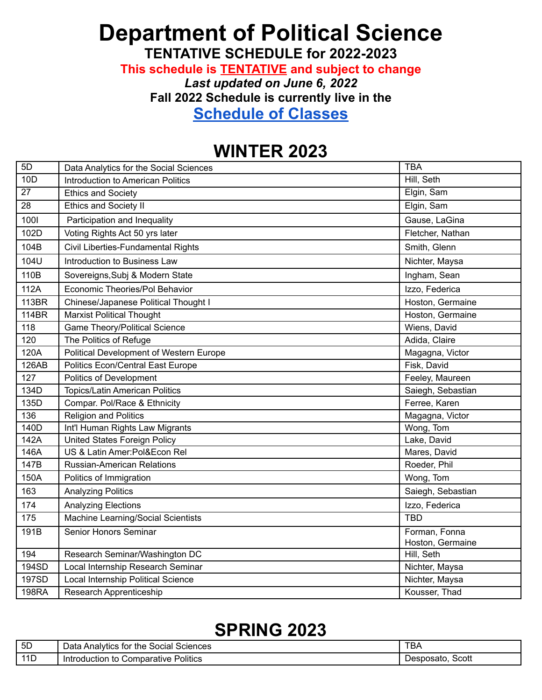## **Department of Political Science**

**TENTATIVE SCHEDULE for 2022-2023**

**This schedule is TENTATIVE and subject to change**

*Last updated on June 6, 2022*

**Fall 2022 Schedule is currently live in the**

**[Schedule of Classes](https://act.ucsd.edu/scheduleOfClasses/scheduleOfClassesStudent.htm)**

## **WINTER 2023**

| 5D              | Data Analytics for the Social Sciences   | <b>TBA</b>                        |
|-----------------|------------------------------------------|-----------------------------------|
| 10D             | <b>Introduction to American Politics</b> | Hill, Seth                        |
| 27              | <b>Ethics and Society</b>                | Elgin, Sam                        |
| $\overline{28}$ | <b>Ethics and Society II</b>             | Elgin, Sam                        |
| 1001            | Participation and Inequality             | Gause, LaGina                     |
| 102D            | Voting Rights Act 50 yrs later           | Fletcher, Nathan                  |
| 104B            | Civil Liberties-Fundamental Rights       | Smith, Glenn                      |
| 104U            | Introduction to Business Law             | Nichter, Maysa                    |
| 110B            | Sovereigns, Subj & Modern State          | Ingham, Sean                      |
| 112A            | Economic Theories/Pol Behavior           | Izzo, Federica                    |
| 113BR           | Chinese/Japanese Political Thought I     | Hoston, Germaine                  |
| <b>114BR</b>    | <b>Marxist Political Thought</b>         | Hoston, Germaine                  |
| 118             | Game Theory/Political Science            | Wiens, David                      |
| 120             | The Politics of Refuge                   | Adida, Claire                     |
| 120A            | Political Development of Western Europe  | Magagna, Victor                   |
| 126AB           | <b>Politics Econ/Central East Europe</b> | Fisk, David                       |
| 127             | <b>Politics of Development</b>           | Feeley, Maureen                   |
| 134D            | <b>Topics/Latin American Politics</b>    | Saiegh, Sebastian                 |
| 135D            | Compar. Pol/Race & Ethnicity             | Ferree, Karen                     |
| 136             | <b>Religion and Politics</b>             | Magagna, Victor                   |
| 140D            | Int'l Human Rights Law Migrants          | Wong, Tom                         |
| 142A            | United States Foreign Policy             | Lake, David                       |
| 146A            | US & Latin Amer:Pol&Econ Rel             | Mares, David                      |
| 147B            | <b>Russian-American Relations</b>        | Roeder, Phil                      |
| 150A            | Politics of Immigration                  | Wong, Tom                         |
| 163             | <b>Analyzing Politics</b>                | Saiegh, Sebastian                 |
| 174             | <b>Analyzing Elections</b>               | Izzo, Federica                    |
| 175             | Machine Learning/Social Scientists       | <b>TBD</b>                        |
| 191B            | Senior Honors Seminar                    | Forman, Fonna<br>Hoston, Germaine |
| 194             | Research Seminar/Washington DC           | Hill, Seth                        |
| 194SD           | Local Internship Research Seminar        | Nichter, Maysa                    |
| 197SD           | Local Internship Political Science       | Nichter, Maysa                    |
| <b>198RA</b>    | <b>Research Apprenticeship</b>           | Kousser, Thad                     |

## **SPRING 2023**

| 5D  | <b>Sciences</b><br>Social<br>$\cdot$ for the $\cdot$<br>Data Analytics | TBA                |
|-----|------------------------------------------------------------------------|--------------------|
| 11D | Politics<br>Comparative<br>Inti<br>roduction<br>to                     | Scott<br>Desposato |